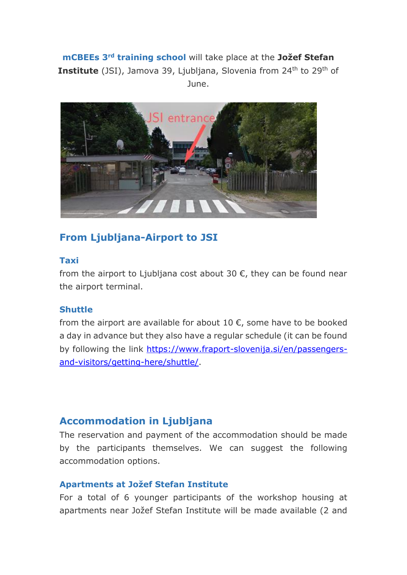**mCBEEs 3rd training school** will take place at the **Jožef Stefan Institute** (JSI), Jamova 39, Ljubljana, Slovenia from 24<sup>th</sup> to 29<sup>th</sup> of June.



# **From Ljubljana-Airport to JSI**

## **Taxi**

from the airport to Ljubliana cost about 30  $\epsilon$ , they can be found near the airport terminal.

## **Shuttle**

from the airport are available for about 10  $\epsilon$ , some have to be booked a day in advance but they also have a regular schedule (it can be found by following the link [https://www.fraport-slovenija.si/en/passengers](https://www.fraport-slovenija.si/en/passengers-and-visitors/getting-here/shuttle/)[and-visitors/getting-here/shuttle/.](https://www.fraport-slovenija.si/en/passengers-and-visitors/getting-here/shuttle/)

## **Accommodation in Ljubljana**

The reservation and payment of the accommodation should be made by the participants themselves. We can suggest the following accommodation options.

#### **Apartments at Jožef Stefan Institute**

For a total of 6 younger participants of the workshop housing at apartments near Jožef Stefan Institute will be made available (2 and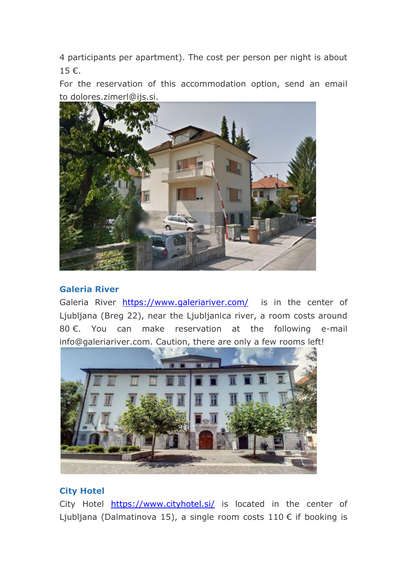4 participants per apartment). The cost per person per night is about 15 €.

For the reservation of this accommodation option, send an email to dolores.zimerl@ijs.si.



## **Galeria River**

Galeria River <https://www.galeriariver.com/>is in the center of Ljubljana (Breg 22), near the Ljubljanica river, a room costs around 80 €. You can make reservation at the following e-mail info@galeriariver.com. Caution, there are only a few rooms left!



## **City Hotel**

City Hotel <https://www.cityhotel.si/> is located in the center of Ljubljana (Dalmatinova 15), a single room costs 110 € if booking is